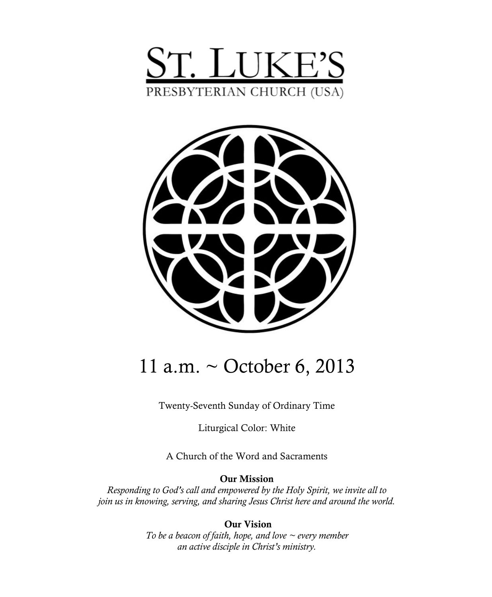



# 11 a.m. ~ October 6, 2013

Twenty-Seventh Sunday of Ordinary Time

Liturgical Color: White

A Church of the Word and Sacraments

**Our Mission**

*Responding to God's call and empowered by the Holy Spirit, we invite all to join us in knowing, serving, and sharing Jesus Christ here and around the world.*

> **Our Vision** *To be a beacon of faith, hope, and love ~ every member an active disciple in Christ's ministry.*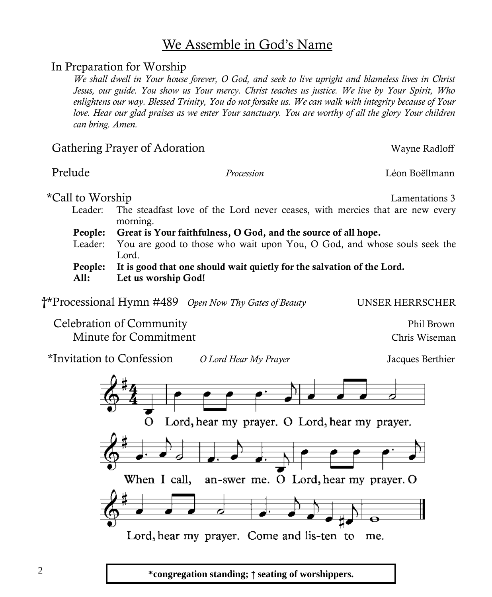## We Assemble in God's Name

### In Preparation for Worship

*We shall dwell in Your house forever, O God, and seek to live upright and blameless lives in Christ Jesus, our guide. You show us Your mercy. Christ teaches us justice. We live by Your Spirit, Who enlightens our way. Blessed Trinity, You do not forsake us. We can walk with integrity because of Your love. Hear our glad praises as we enter Your sanctuary. You are worthy of all the glory Your children can bring. Amen.*

### Gathering Prayer of Adoration Wayne Radloff

Prelude *Procession* Léon Boëllmann

\*Call to Worship Lamentations 3

- Leader: The steadfast love of the Lord never ceases, with mercies that are new every morning.
- **People: Great is Your faithfulness, O God, and the source of all hope.**
- Leader: You are good to those who wait upon You, O God, and whose souls seek the Lord.
- **People: It is good that one should wait quietly for the salvation of the Lord.**
- **All: Let us worship God!**

 **†**\*Processional Hymn #489 *Open Now Thy Gates of Beauty* UNSER HERRSCHER

Celebration of Community Phil Brown Minute for Commitment Chris Wiseman

\*Invitation to Confession *O Lord Hear My Prayer* Jacques Berthier



2 **\*congregation standing;** † **seating of worshippers.**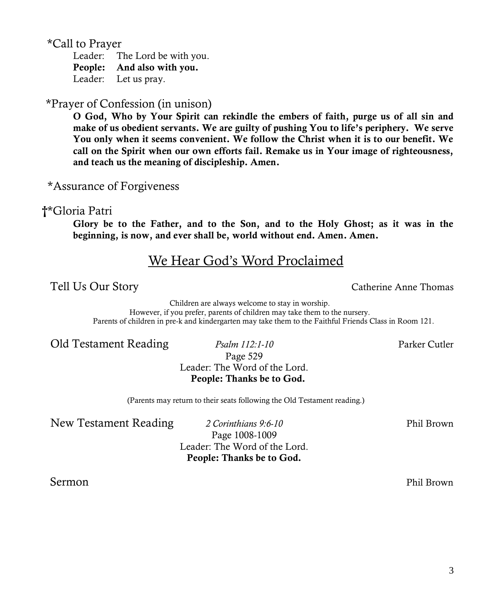\*Call to Prayer

Leader: The Lord be with you. **People: And also with you.** Leader: Let us pray.

### \*Prayer of Confession (in unison)

**O God, Who by Your Spirit can rekindle the embers of faith, purge us of all sin and make of us obedient servants. We are guilty of pushing You to life's periphery. We serve You only when it seems convenient. We follow the Christ when it is to our benefit. We call on the Spirit when our own efforts fail. Remake us in Your image of righteousness, and teach us the meaning of discipleship. Amen.**

\*Assurance of Forgiveness

#### **†**\*Gloria Patri

**Glory be to the Father, and to the Son, and to the Holy Ghost; as it was in the beginning, is now, and ever shall be, world without end. Amen. Amen.**

# We Hear God's Word Proclaimed

Children are always welcome to stay in worship. However, if you prefer, parents of children may take them to the nursery. Parents of children in pre-k and kindergarten may take them to the Faithful Friends Class in Room 121.

Old Testament Reading *Psalm 112:1-10* Parker Cutler

Page 529 Leader: The Word of the Lord. **People: Thanks be to God.** 

(Parents may return to their seats following the Old Testament reading.)

New Testament Reading *2 Corinthians 9:6-10* Phil Brown

Page 1008-1009 Leader: The Word of the Lord. **People: Thanks be to God.**

Sermon Phil Brown

Tell Us Our Story **Catherine Anne Thomas** Catherine Anne Thomas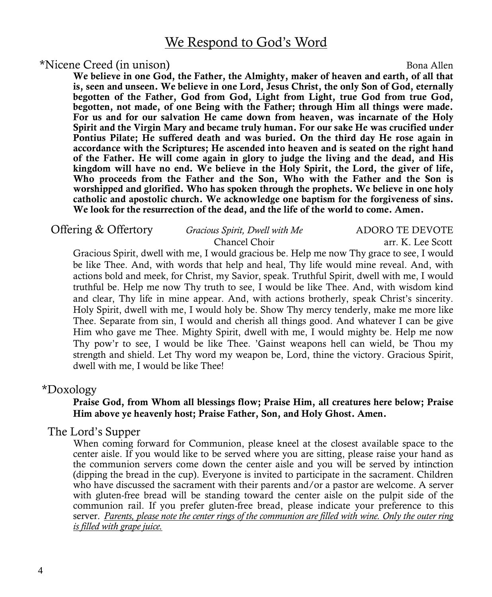### We Respond to God's Word

#### \*Nicene Creed (in unison) Bona Allen

**We believe in one God, the Father, the Almighty, maker of heaven and earth, of all that is, seen and unseen. We believe in one Lord, Jesus Christ, the only Son of God, eternally begotten of the Father, God from God, Light from Light, true God from true God, begotten, not made, of one Being with the Father; through Him all things were made. For us and for our salvation He came down from heaven, was incarnate of the Holy Spirit and the Virgin Mary and became truly human. For our sake He was crucified under Pontius Pilate; He suffered death and was buried. On the third day He rose again in accordance with the Scriptures; He ascended into heaven and is seated on the right hand of the Father. He will come again in glory to judge the living and the dead, and His kingdom will have no end. We believe in the Holy Spirit, the Lord, the giver of life, Who proceeds from the Father and the Son, Who with the Father and the Son is worshipped and glorified. Who has spoken through the prophets. We believe in one holy catholic and apostolic church. We acknowledge one baptism for the forgiveness of sins. We look for the resurrection of the dead, and the life of the world to come. Amen.**

| Offering & Offertory | Gracious Spirit, Dwell with Me | ADORO TE DEVOTE   |
|----------------------|--------------------------------|-------------------|
|                      | Chancel Choir                  | arr. K. Lee Scott |
|                      |                                |                   |

Gracious Spirit, dwell with me, I would gracious be. Help me now Thy grace to see, I would be like Thee. And, with words that help and heal, Thy life would mine reveal. And, with actions bold and meek, for Christ, my Savior, speak. Truthful Spirit, dwell with me, I would truthful be. Help me now Thy truth to see, I would be like Thee. And, with wisdom kind and clear, Thy life in mine appear. And, with actions brotherly, speak Christ's sincerity. Holy Spirit, dwell with me, I would holy be. Show Thy mercy tenderly, make me more like Thee. Separate from sin, I would and cherish all things good. And whatever I can be give Him who gave me Thee. Mighty Spirit, dwell with me, I would mighty be. Help me now Thy pow'r to see, I would be like Thee. 'Gainst weapons hell can wield, be Thou my strength and shield. Let Thy word my weapon be, Lord, thine the victory. Gracious Spirit, dwell with me, I would be like Thee!

#### \*Doxology

#### **Praise God, from Whom all blessings flow; Praise Him, all creatures here below; Praise Him above ye heavenly host; Praise Father, Son, and Holy Ghost. Amen.**

#### The Lord's Supper

When coming forward for Communion, please kneel at the closest available space to the center aisle. If you would like to be served where you are sitting, please raise your hand as the communion servers come down the center aisle and you will be served by intinction (dipping the bread in the cup). Everyone is invited to participate in the sacrament. Children who have discussed the sacrament with their parents and/or a pastor are welcome. A server with gluten-free bread will be standing toward the center aisle on the pulpit side of the communion rail. If you prefer gluten-free bread, please indicate your preference to this server. *Parents, please note the center rings of the communion are filled with wine. Only the outer ring is filled with grape juice.*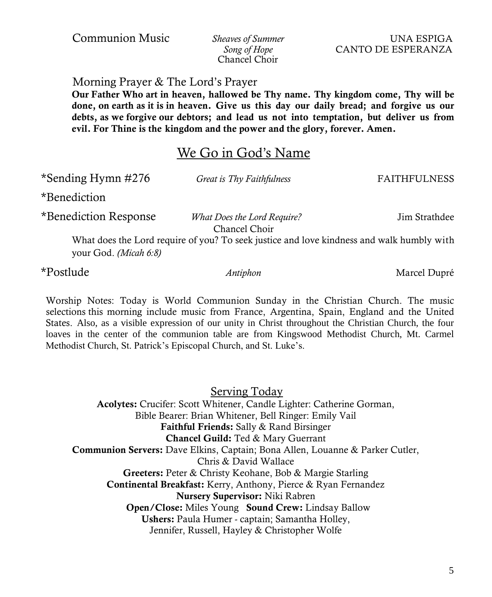*Song of Hope* CANTO DE ESPERANZA Chancel Choir

Morning Prayer & The Lord's Prayer

**Our Father Who art in heaven, hallowed be Thy name. Thy kingdom come, Thy will be done, on earth as it is in heaven. Give us this day our daily bread; and forgive us our debts, as we forgive our debtors; and lead us not into temptation, but deliver us from evil. For Thine is the kingdom and the power and the glory, forever. Amen.**

### We Go in God's Name

 \*Sending Hymn #276 *Great is Thy Faithfulness* FAITHFULNESS \*Benediction Response *What Does the Lord Require?* Jim Strathdee Chancel Choir What does the Lord require of you? To seek justice and love kindness and walk humbly with your God. *(Micah 6:8)*

Worship Notes: Today is World Communion Sunday in the Christian Church. The music selections this morning include music from France, Argentina, Spain, England and the United States. Also, as a visible expression of our unity in Christ throughout the Christian Church, the four loaves in the center of the communion table are from Kingswood Methodist Church, Mt. Carmel Methodist Church, St. Patrick's Episcopal Church, and St. Luke's.

Serving Today **Acolytes:** Crucifer: Scott Whitener, Candle Lighter: Catherine Gorman, Bible Bearer: Brian Whitener, Bell Ringer: Emily Vail **Faithful Friends:** Sally & Rand Birsinger **Chancel Guild:** Ted & Mary Guerrant **Communion Servers:** Dave Elkins, Captain; Bona Allen, Louanne & Parker Cutler, Chris & David Wallace **Greeters:** Peter & Christy Keohane, Bob & Margie Starling **Continental Breakfast:** Kerry, Anthony, Pierce & Ryan Fernandez **Nursery Supervisor:** Niki Rabren **Open/Close:** Miles Young **Sound Crew:** Lindsay Ballow **Ushers:** Paula Humer - captain; Samantha Holley, Jennifer, Russell, Hayley & Christopher Wolfe

\*Benediction

\*Postlude *Antiphon* Marcel Dupré

Communion Music *Sheaves of Summer* UNA ESPIGA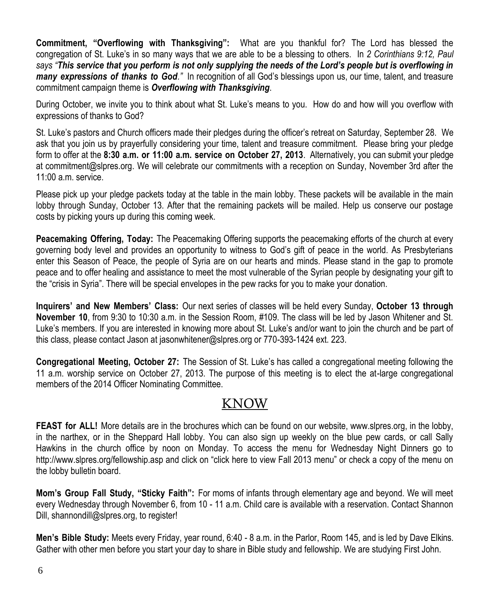**Commitment, "Overflowing with Thanksgiving":** What are you thankful for? The Lord has blessed the congregation of St. Luke's in so many ways that we are able to be a blessing to others. In *2 Corinthians 9:12, Paul says "This service that you perform is not only supplying the needs of the Lord's people but is overflowing in many expressions of thanks to God."* In recognition of all God's blessings upon us, our time, talent, and treasure commitment campaign theme is *Overflowing with Thanksgiving*.

During October, we invite you to think about what St. Luke's means to you. How do and how will you overflow with expressions of thanks to God?

St. Luke's pastors and Church officers made their pledges during the officer's retreat on Saturday, September 28. We ask that you join us by prayerfully considering your time, talent and treasure commitment. Please bring your pledge form to offer at the **8:30 a.m. or 11:00 a.m. service on October 27, 2013**. Alternatively, you can submit your pledge at [commitment@slpres.org.](mailto:commitment@slpres.org) We will celebrate our commitments with a reception on Sunday, November 3rd after the 11:00 a.m. service.

Please pick up your pledge packets today at the table in the main lobby. These packets will be available in the main lobby through Sunday, October 13. After that the remaining packets will be mailed. Help us conserve our postage costs by picking yours up during this coming week.

**Peacemaking Offering, Today:** The Peacemaking Offering supports the peacemaking efforts of the church at every governing body level and provides an opportunity to witness to God's gift of peace in the world. As Presbyterians enter this Season of Peace, the people of Syria are on our hearts and minds. Please stand in the gap to promote peace and to offer healing and assistance to meet the most vulnerable of the Syrian people by designating your gift to the "crisis in Syria". There will be special envelopes in the pew racks for you to make your donation.

**Inquirers' and New Members' Class:** Our next series of classes will be held every Sunday, **October 13 through November 10**, from 9:30 to 10:30 a.m. in the Session Room, #109. The class will be led by Jason Whitener and St. Luke's members. If you are interested in knowing more about St. Luke's and/or want to join the church and be part of this class, please contact Jason at jasonwhitener@slpres.org or 770-393-1424 ext. 223.

**Congregational Meeting, October 27:** The Session of St. Luke's has called a congregational meeting following the 11 a.m. worship service on October 27, 2013. The purpose of this meeting is to elect the at-large congregational members of the 2014 Officer Nominating Committee.

# KNOW

**FEAST for ALL!** More details are in the brochures which can be found on our website, [www.slpres.org,](http://www.slpres.org) in the lobby, in the narthex, or in the Sheppard Hall lobby. You can also sign up weekly on the blue pew cards, or call Sally Hawkins in the church office by noon on Monday. To access the menu for Wednesday Night Dinners go to http://www.slpres.org/fellowship.asp and click on "click here to view Fall 2013 menu" or check a copy of the menu on the lobby bulletin board.

**Mom's Group Fall Study, "Sticky Faith":** For moms of infants through elementary age and beyond. We will meet every Wednesday through November 6, from 10 - 11 a.m. Child care is available with a reservation. Contact Shannon Dill, shannondill@slpres.org, to register!

**Men's Bible Study:** Meets every Friday, year round, 6:40 - 8 a.m. in the Parlor, Room 145, and is led by Dave Elkins. Gather with other men before you start your day to share in Bible study and fellowship. We are studying First John.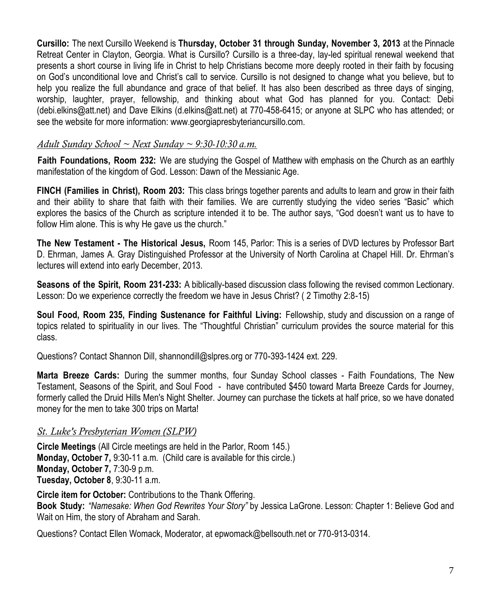**Cursillo:** The next Cursillo Weekend is **Thursday, October 31 through Sunday, November 3, 2013** at the Pinnacle Retreat Center in Clayton, Georgia. What is Cursillo? Cursillo is a three-day, lay-led spiritual renewal weekend that presents a short course in living life in Christ to help Christians become more deeply rooted in their faith by focusing on God's unconditional love and Christ's call to service. Cursillo is not designed to change what you believe, but to help you realize the full abundance and grace of that belief. It has also been described as three days of singing, worship, laughter, prayer, fellowship, and thinking about what God has planned for you. Contact: Debi ([debi.elkins@att.net\)](mailto:debi.elkins@att.net) and Dave Elkins [\(d.elkins@att.net\)](mailto:d.elkins@att.net) at 770-458-6415; or anyone at SLPC who has attended; or see the website for more information: [www.g](http://www.signupgenius.com/go/805084CAFAF28A75-slpc3)eorgiapresbyteriancursillo.com.

#### *Adult Sunday School ~ Next Sunday ~ 9:30-10:30 a.m.*

**Faith Foundations, Room 232:** We are studying the Gospel of Matthew with emphasis on the Church as an earthly manifestation of the kingdom of God. Lesson: Dawn of the Messianic Age.

**FINCH (Families in Christ), Room 203:** This class brings together parents and adults to learn and grow in their faith and their ability to share that faith with their families. We are currently studying the video series "Basic" which explores the basics of the Church as scripture intended it to be. The author says, "God doesn't want us to have to follow Him alone. This is why He gave us the church."

**The New Testament - The Historical Jesus,** Room 145, Parlor: This is a series of DVD lectures by Professor Bart D. Ehrman, James A. Gray Distinguished Professor at the University of North Carolina at Chapel Hill. Dr. Ehrman's lectures will extend into early December, 2013.

**Seasons of the Spirit, Room 231-233:** A biblically-based discussion class following the revised common Lectionary. Lesson: Do we experience correctly the freedom we have in Jesus Christ? ( 2 Timothy 2:8-15)

**Soul Food, Room 235, Finding Sustenance for Faithful Living:** Fellowship, study and discussion on a range of topics related to spirituality in our lives. The "Thoughtful Christian" curriculum provides the source material for this class.

Questions? Contact Shannon Dill, shannondill@slpres.org or 770-393-1424 ext. 229.

**Marta Breeze Cards:** During the summer months, four Sunday School classes - Faith Foundations, The New Testament, Seasons of the Spirit, and Soul Food - have contributed \$450 toward Marta Breeze Cards for Journey, formerly called the Druid Hills Men's Night Shelter. Journey can purchase the tickets at half price, so we have donated money for the men to take 300 trips on Marta!

#### *St. Luke's Presbyterian Women (SLPW)*

**Circle Meetings** (All Circle meetings are held in the Parlor, Room 145.) **Monday, October 7,** 9:30-11 a.m. (Child care is available for this circle.) **Monday, October 7,** 7:30-9 p.m. **Tuesday, October 8**, 9:30-11 a.m.

**Circle item for October:** Contributions to the Thank Offering. **Book Study:** *"Namesake: When God Rewrites Your Story"* by Jessica LaGrone. Lesson: Chapter 1: Believe God and Wait on Him, the story of Abraham and Sarah.

Questions? Contact Ellen Womack, Moderator, at epwomack@bellsouth.net or 770-913-0314.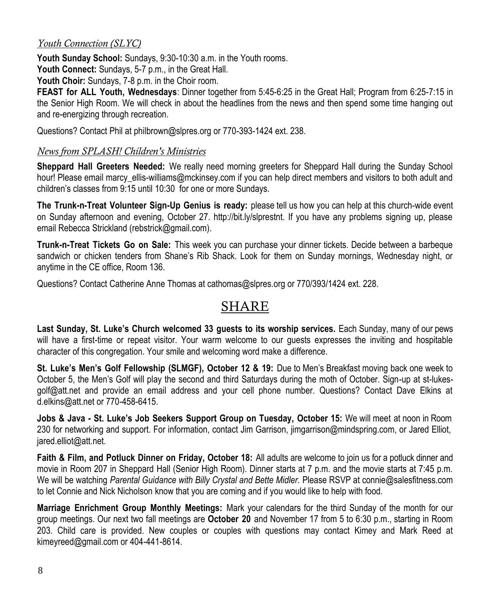#### *Youth Connection (SLYC)*

**Youth Sunday School:** Sundays, 9:30-10:30 a.m. in the Youth rooms.

**Youth Connect:** Sundays, 5-7 p.m., in the Great Hall.

**Youth Choir:** Sundays, 7-8 p.m. in the Choir room.

**FEAST for ALL Youth, Wednesdays**: Dinner together from 5:45-6:25 in the Great Hall; Program from 6:25-7:15 in the Senior High Room. We will check in about the headlines from the news and then spend some time hanging out and re-energizing through recreation.

Questions? Contact Phil at philbrown@slpres.org or 770-393-1424 ext. 238.

#### *News from SPLASH! Children's Ministries*

**Sheppard Hall Greeters Needed:** We really need morning greeters for Sheppard Hall during the Sunday School hour! Please email marcy ellis-williams@mckinsey.com if you can help direct members and visitors to both adult and children's classes from 9:15 until 10:30 for one or more Sundays.

**The Trunk-n-Treat Volunteer Sign-Up Genius is ready:** please tell us how you can help at this church-wide event on Sunday afternoon and evening, October 27. http://bit.ly/slprestnt. If you have any problems signing up, please email Rebecca Strickland (rebstrick@gmail.com).

**Trunk-n-Treat Tickets Go on Sale:** This week you can purchase your dinner tickets. Decide between a barbeque sandwich or chicken tenders from Shane's Rib Shack. Look for them on Sunday mornings, Wednesday night, or anytime in the CE office, Room 136.

Questions? Contact Catherine Anne Thomas at cathomas@slpres.org or 770/393/1424 ext. 228.

# SHARE

**Last Sunday, St. Luke's Church welcomed 33 guests to its worship services.** Each Sunday, many of our pews will have a first-time or repeat visitor. Your warm welcome to our guests expresses the inviting and hospitable character of this congregation. Your smile and welcoming word make a difference.

**St. Luke's Men's Golf Fellowship (SLMGF), October 12 & 19:** Due to Men's Breakfast moving back one week to October 5, the Men's Golf will play the second and third Saturdays during the moth of October. Sign-up at st-lukesgolf@att.net and provide an email address and your cell phone number. Questions? Contact Dave Elkins at d.elkins@att.net or 770-458-6415.

**Jobs & Java - St. Luke's Job Seekers Support Group on Tuesday, October 15:** We will meet at noon in Room 230 for networking and support. For information, contact Jim Garrison, jimgarrison@mindspring.com, or Jared Elliot, jared.elliot@att.net.

**Faith & Film, and Potluck Dinner on Friday, October 18:** All adults are welcome to join us for a potluck dinner and movie in Room 207 in Sheppard Hall (Senior High Room). Dinner starts at 7 p.m. and the movie starts at 7:45 p.m. We will be watching *Parental Guidance with Billy Crystal and Bette Midler.* Please RSVP at connie@salesfitness.com to let Connie and Nick Nicholson know that you are coming and if you would like to help with food.

**Marriage Enrichment Group Monthly Meetings:** Mark your calendars for the third Sunday of the month for our group meetings. Our next two fall meetings are **October 20** and November 17 from 5 to 6:30 p.m., starting in Room 203. Child care is provided. New couples or couples with questions may contact Kimey and Mark Reed at kimeyreed@gmail.com or 404-441-8614.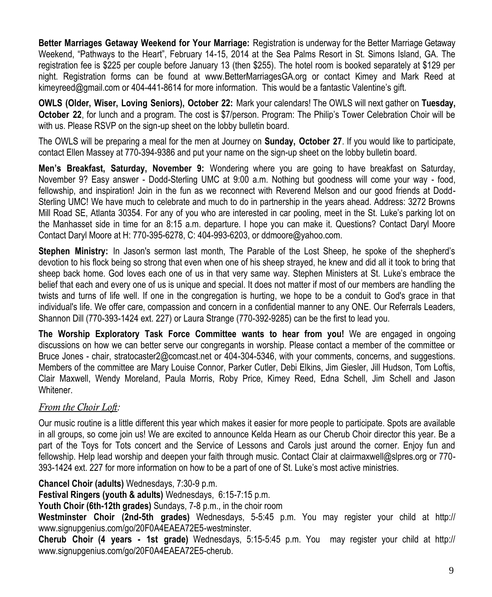**Better Marriages Getaway Weekend for Your Marriage:** Registration is underway for the Better Marriage Getaway Weekend, "Pathways to the Heart", February 14-15, 2014 at the Sea Palms Resort in St. Simons Island, GA. The registration fee is \$225 per couple before January 13 (then \$255). The hotel room is booked separately at \$129 per night. Registration forms can be found at www.BetterMarriagesGA.org or contact Kimey and Mark Reed at kimeyreed@gmail.com or 404-441-8614 for more information. This would be a fantastic Valentine's gift.

**OWLS (Older, Wiser, Loving Seniors), October 22:** Mark your calendars! The OWLS will next gather on **Tuesday, October 22**, for lunch and a program. The cost is \$7/person. Program: The Philip's Tower Celebration Choir will be with us. Please RSVP on the sign-up sheet on the lobby bulletin board.

The OWLS will be preparing a meal for the men at Journey on **Sunday, October 27**. If you would like to participate, contact Ellen Massey at 770-394-9386 and put your name on the sign-up sheet on the lobby bulletin board.

**Men's Breakfast, Saturday, November 9:** Wondering where you are going to have breakfast on Saturday, November 9? Easy answer - Dodd-Sterling UMC at 9:00 a.m. Nothing but goodness will come your way - food, fellowship, and inspiration! Join in the fun as we reconnect with Reverend Melson and our good friends at Dodd-Sterling UMC! We have much to celebrate and much to do in partnership in the years ahead. Address: 3272 Browns Mill Road SE, Atlanta 30354. For any of you who are interested in car pooling, meet in the St. Luke's parking lot on the Manhasset side in time for an 8:15 a.m. departure. I hope you can make it. Questions? Contact Daryl Moore Contact Daryl Moore at H: 770-395-6278, C: 404-993-6203, or ddmoore@yahoo.com.

**Stephen Ministry:** In Jason's sermon last month, The Parable of the Lost Sheep, he spoke of the shepherd's devotion to his flock being so strong that even when one of his sheep strayed, he knew and did all it took to bring that sheep back home. God loves each one of us in that very same way. Stephen Ministers at St. Luke's embrace the belief that each and every one of us is unique and special. It does not matter if most of our members are handling the twists and turns of life well. If one in the congregation is hurting, we hope to be a conduit to God's grace in that individual's life. We offer care, compassion and concern in a confidential manner to any ONE. Our Referrals Leaders, Shannon Dill (770-393-1424 ext. 227) or Laura Strange (770-392-9285) can be the first to lead you.

**The Worship Exploratory Task Force Committee wants to hear from you!** We are engaged in ongoing discussions on how we can better serve our congregants in worship. Please contact a member of the committee or Bruce Jones - chair, [stratocaster2@comcast.net o](mailto:stratocaster2@comcast.net)r 404-304-5346, with your comments, concerns, and suggestions. Members of the committee are Mary Louise Connor, Parker Cutler, Debi Elkins, Jim Giesler, Jill Hudson, Tom Loftis, Clair Maxwell, Wendy Moreland, Paula Morris, Roby Price, Kimey Reed, Edna Schell, Jim Schell and Jason Whitener.

#### *From the Choir Loft:*

Our music routine is a little different this year which makes it easier for more people to participate. Spots are available in all groups, so come join us! We are excited to announce Kelda Hearn as our Cherub Choir director this year. Be a part of the Toys for Tots concert and the Service of Lessons and Carols just around the corner. Enjoy fun and fellowship. Help lead worship and deepen your faith through music. Contact Clair at clairmaxwell@slpres.org or 770- 393-1424 ext. 227 for more information on how to be a part of one of St. Luke's most active ministries.

**Chancel Choir (adults)** Wednesdays, 7:30-9 p.m.

**Festival Ringers (youth & adults)** Wednesdays, 6:15-7:15 p.m.

**Youth Choir (6th-12th grades)** Sundays, 7-8 p.m., in the choir room

**Westminster Choir (2nd-5th grades)** Wednesdays, 5-5:45 p.m. You may register your child at http:// www.signupgenius.com/go/20F0A4EAEA72E5-westminster.

**Cherub Choir (4 years - 1st grade)** Wednesdays, 5:15-5:45 p.m. You may register your child at http:// www.signupgenius.com/go/20F0A4EAEA72E5-cherub.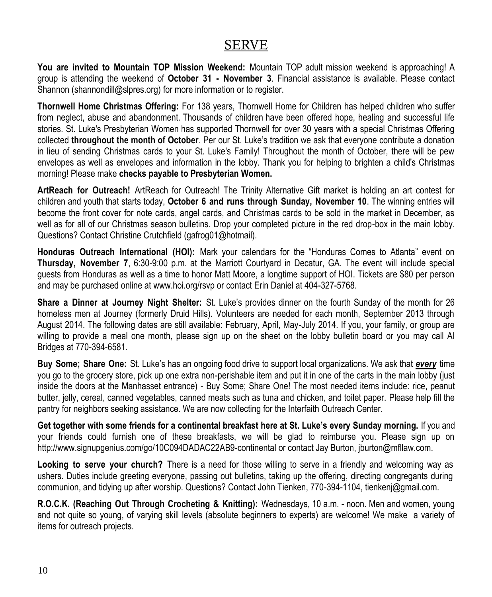### SERVE

**You are invited to Mountain TOP Mission Weekend:** Mountain TOP adult mission weekend is approaching! A group is attending the weekend of **October 31 - November 3**. Financial assistance is available. Please contact Shannon [\(shannondill@slpres.org\)](mailto:shannondill@slpres.org) for more information or to register.

**Thornwell Home Christmas Offering:** For 138 years, Thornwell Home for Children has helped children who suffer from neglect, abuse and abandonment. Thousands of children have been offered hope, healing and successful life stories. St. Luke's Presbyterian Women has supported Thornwell for over 30 years with a special Christmas Offering collected **throughout the month of October**. Per our St. Luke's tradition we ask that everyone contribute a donation in lieu of sending Christmas cards to your St. Luke's Family! Throughout the month of October, there will be pew envelopes as well as envelopes and information in the lobby. Thank you for helping to brighten a child's Christmas morning! Please make **checks payable to Presbyterian Women.** 

**ArtReach for Outreach!** ArtReach for Outreach! The Trinity Alternative Gift market is holding an art contest for children and youth that starts today, **October 6 and runs through Sunday, November 10**. The winning entries will become the front cover for note cards, angel cards, and Christmas cards to be sold in the market in December, as well as for all of our Christmas season bulletins. Drop your completed picture in the red drop-box in the main lobby. Questions? Contact Christine Crutchfield (gafrog01@hotmail).

**Honduras Outreach International (HOI):** Mark your calendars for the "Honduras Comes to Atlanta" event on **Thursday, November 7**, 6:30-9:00 p.m. at the Marriott Courtyard in Decatur, GA. The event will include special guests from Honduras as well as a time to honor Matt Moore, a longtime support of HOI. Tickets are \$80 per person and may be purchased online at www.hoi.org/rsvp or contact Erin Daniel at 404-327-5768.

**Share a Dinner at Journey Night Shelter:** St. Luke's provides dinner on the fourth Sunday of the month for 26 homeless men at Journey (formerly Druid Hills). Volunteers are needed for each month, September 2013 through August 2014. The following dates are still available: February, April, May-July 2014. If you, your family, or group are willing to provide a meal one month, please sign up on the sheet on the lobby bulletin board or you may call Al Bridges at 770-394-6581.

**Buy Some; Share One:** St. Luke's has an ongoing food drive to support local organizations. We ask that *every* time you go to the grocery store, pick up one extra non-perishable item and put it in one of the carts in the main lobby (just inside the doors at the Manhasset entrance) - Buy Some; Share One! The most needed items include: rice, peanut butter, jelly, cereal, canned vegetables, canned meats such as tuna and chicken, and toilet paper. Please help fill the pantry for neighbors seeking assistance. We are now collecting for the Interfaith Outreach Center.

**Get together with some friends for a continental breakfast here at St. Luke's every Sunday morning.** If you and your friends could furnish one of these breakfasts, we will be glad to reimburse you. Please sign up on http://www.signupgenius.com/go/10C094DADAC22AB9-continental or contact Jay Burton, jburton@mfllaw.com.

**Looking to serve your church?** There is a need for those willing to serve in a friendly and welcoming way as ushers. Duties include greeting everyone, passing out bulletins, taking up the offering, directing congregants during communion, and tidying up after worship. Questions? Contact John Tienken, 770-394-1104, tienkenj@gmail.com.

**R.O.C.K. (Reaching Out Through Crocheting & Knitting):** Wednesdays, 10 a.m. - noon. Men and women, young and not quite so young, of varying skill levels (absolute beginners to experts) are welcome! We make a variety of items for outreach projects.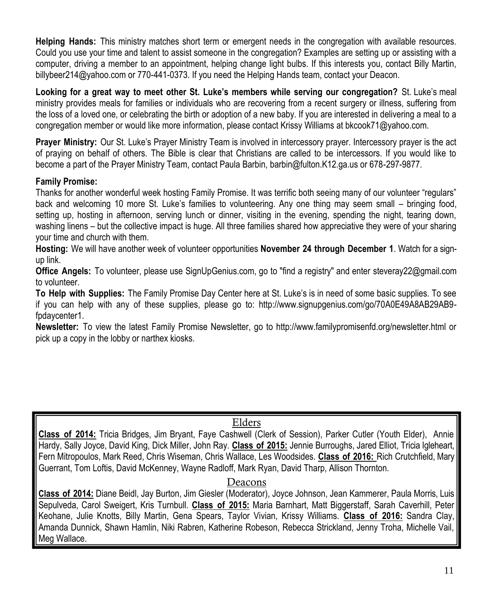**Helping Hands:** This ministry matches short term or emergent needs in the congregation with available resources. Could you use your time and talent to assist someone in the congregation? Examples are setting up or assisting with a computer, driving a member to an appointment, helping change light bulbs. If this interests you, contact Billy Martin, billybeer214@yahoo.com or 770-441-0373. If you need the Helping Hands team, contact your Deacon.

**Looking for a great way to meet other St. Luke's members while serving our congregation?** St. Luke's meal ministry provides meals for families or individuals who are recovering from a recent surgery or illness, suffering from the loss of a loved one, or celebrating the birth or adoption of a new baby. If you are interested in delivering a meal to a congregation member or would like more information, please contact Krissy Williams at bkcook71@yahoo.com.

**Prayer Ministry:** Our St. Luke's Prayer Ministry Team is involved in intercessory prayer. Intercessory prayer is the act of praying on behalf of others. The Bible is clear that Christians are called to be intercessors. If you would like to become a part of the Prayer Ministry Team, contact Paula Barbin, barbin@fulton.K12.ga.us or 678-297-9877.

#### **Family Promise:**

Thanks for another wonderful week hosting Family Promise. It was terrific both seeing many of our volunteer "regulars" back and welcoming 10 more St. Luke's families to volunteering. Any one thing may seem small – bringing food, setting up, hosting in afternoon, serving lunch or dinner, visiting in the evening, spending the night, tearing down, washing linens – but the collective impact is huge. All three families shared how appreciative they were of your sharing your time and church with them.

**Hosting:** We will have another week of volunteer opportunities **November 24 through December 1**. Watch for a signup link.

**Office Angels:** To volunteer, please use SignUpGenius.com, go to "find a registry" and enter [steveray22@gmail.com](mailto:steveray22@gmail.com) to volunteer.

**To Help with Supplies:** The Family Promise Day Center here at St. Luke's is in need of some basic supplies. To see if you can help with any of these supplies, please go to: http://www.signupgenius.com/go/70A0E49A8AB29AB9 fpdaycenter1.

**Newsletter:** To view the latest Family Promise Newsletter, go to http://www.familypromisenfd.org/newsletter.html or pick up a copy in the lobby or narthex kiosks.

#### Elders

**Class of 2014:** Tricia Bridges, Jim Bryant, Faye Cashwell (Clerk of Session), Parker Cutler (Youth Elder), Annie Hardy, Sally Joyce, David King, Dick Miller, John Ray. **Class of 2015:** Jennie Burroughs, Jared Elliot, Tricia Igleheart, Fern Mitropoulos, Mark Reed, Chris Wiseman, Chris Wallace, Les Woodsides. **Class of 2016:** Rich Crutchfield, Mary Guerrant, Tom Loftis, David McKenney, Wayne Radloff, Mark Ryan, David Tharp, Allison Thornton.

#### Deacons

**Class of 2014:** Diane Beidl, Jay Burton, Jim Giesler (Moderator), Joyce Johnson, Jean Kammerer, Paula Morris, Luis Sepulveda, Carol Sweigert, Kris Turnbull. **Class of 2015:** Maria Barnhart, Matt Biggerstaff, Sarah Caverhill, Peter Keohane, Julie Knotts, Billy Martin, Gena Spears, Taylor Vivian, Krissy Williams. **Class of 2016:** Sandra Clay, Amanda Dunnick, Shawn Hamlin, Niki Rabren, Katherine Robeson, Rebecca Strickland, Jenny Troha, Michelle Vail, Meg Wallace.